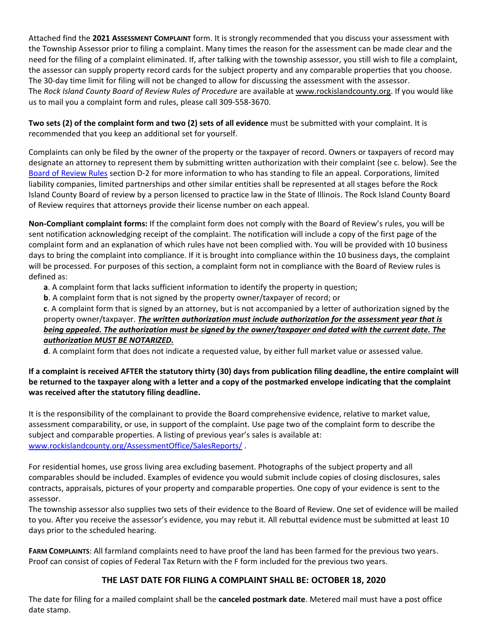Attached find the **2021 ASSESSMENT COMPLAINT** form. It is strongly recommended that you discuss your assessment with the Township Assessor prior to filing a complaint. Many times the reason for the assessment can be made clear and the need for the filing of a complaint eliminated. If, after talking with the township assessor, you still wish to file a complaint, the assessor can supply property record cards for the subject property and any comparable properties that you choose. The 30-day time limit for filing will not be changed to allow for discussing the assessment with the assessor. The *Rock Island County Board of Review Rules of Procedure* are available at [www.rockislandcounty.org.](http://www.rockislandcounty.org/) If you would like us to mail you a complaint form and rules, please call 309-558-3670.

**Two sets (2) of the complaint form and two (2) sets of all evidence** must be submitted with your complaint. It is recommended that you keep an additional set for yourself.

Complaints can only be filed by the owner of the property or the taxpayer of record. Owners or taxpayers of record may designate an attorney to represent them by submitting written authorization with their complaint (see c. below). See the [Board of Review Rules](http://www.rockislandcounty.org/BoardofReview/Rules/) section D-2 for more information to who has standing to file an appeal. Corporations, limited liability companies, limited partnerships and other similar entities shall be represented at all stages before the Rock Island County Board of review by a person licensed to practice law in the State of Illinois. The Rock Island County Board of Review requires that attorneys provide their license number on each appeal.

**Non-Compliant complaint forms:** If the complaint form does not comply with the Board of Review's rules, you will be sent notification acknowledging receipt of the complaint. The notification will include a copy of the first page of the complaint form and an explanation of which rules have not been complied with. You will be provided with 10 business days to bring the complaint into compliance. If it is brought into compliance within the 10 business days, the complaint will be processed. For purposes of this section, a complaint form not in compliance with the Board of Review rules is defined as:

**a**. A complaint form that lacks sufficient information to identify the property in question;

**b**. A complaint form that is not signed by the property owner/taxpayer of record; or

**c**. A complaint form that is signed by an attorney, but is not accompanied by a letter of authorization signed by the property owner/taxpayer. *The written authorization must include authorization for the assessment year that is being appealed. The authorization must be signed by the owner/taxpayer and dated with the current date. The authorization MUST BE NOTARIZED.* 

**d**. A complaint form that does not indicate a requested value, by either full market value or assessed value.

## **If a complaint is received AFTER the statutory thirty (30) days from publication filing deadline, the entire complaint will be returned to the taxpayer along with a letter and a copy of the postmarked envelope indicating that the complaint was received after the statutory filing deadline.**

It is the responsibility of the complainant to provide the Board comprehensive evidence, relative to market value, assessment comparability, or use, in support of the complaint. Use page two of the complaint form to describe the subject and comparable properties. A listing of previous year's sales is available at: [www.rockislandcounty.org/AssessmentOffice/SalesReports/](http://www.rockislandcounty.org/AssessmentOffice/SalesReports/) .

For residential homes, use gross living area excluding basement. Photographs of the subject property and all comparables should be included. Examples of evidence you would submit include copies of closing disclosures, sales contracts, appraisals, pictures of your property and comparable properties. One copy of your evidence is sent to the assessor.

The township assessor also supplies two sets of their evidence to the Board of Review. One set of evidence will be mailed to you. After you receive the assessor's evidence, you may rebut it. All rebuttal evidence must be submitted at least 10 days prior to the scheduled hearing.

**FARM COMPLAINTS**: All farmland complaints need to have proof the land has been farmed for the previous two years. Proof can consist of copies of Federal Tax Return with the F form included for the previous two years.

# **THE LAST DATE FOR FILING A COMPLAINT SHALL BE: OCTOBER 18, 2020**

The date for filing for a mailed complaint shall be the **canceled postmark date**. Metered mail must have a post office date stamp.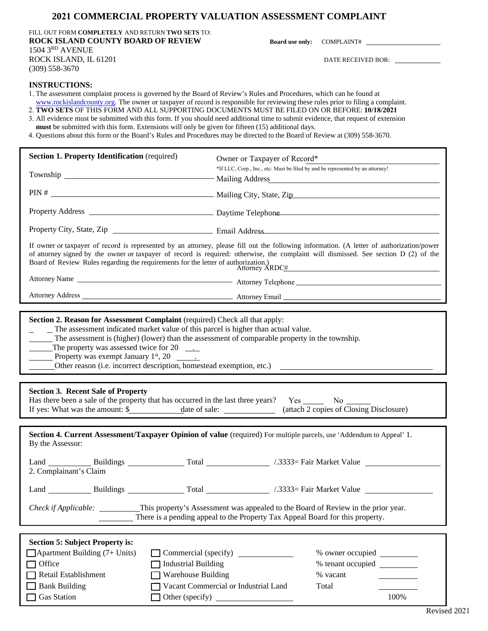### **2021 COMMERCIAL PROPERTY VALUATION ASSESSMENT COMPLAINT**

FILL OUT FORM **COMPLETELY** AND RETURN **TWO SETS** TO: **ROCK ISLAND COUNTY BOARD OF REVIEW**  1504 3 RD AVENUE ROCK ISLAND, IL 61201 (309) 558-3670

**Board use only:** COMPLAINT#

DATE RECEIVED BOR:

### **INSTRUCTIONS:**

1. The assessment complaint process is governed by the Board of Review's Rules and Procedures, which can be found at

www.rockislandcounty.org. The owner or taxpayer of record is responsible for reviewing these rules prior to filing a complaint.

2. **TWO SETS** OF THIS FORM AND ALL SUPPORTING DOCUMENTS MUST BE FILED ON OR BEFORE: **10/18/2021** 3. All evidence must be submitted with this form. If you should need additional time to submit evidence, that request of extension must be submitted with this form. Extensions will only be given for fifteen (15) additional days.

4. Questions about this form or the Board's Rules and Procedures may be directed to the Board of Review at (309) 558-3670.

| <b>Section 1. Property Identification</b> (required)                                                                                                                                                                                                                                                                         | Owner or Taxpayer of Record*                                                                                                                                                                                                                                                                                |
|------------------------------------------------------------------------------------------------------------------------------------------------------------------------------------------------------------------------------------------------------------------------------------------------------------------------------|-------------------------------------------------------------------------------------------------------------------------------------------------------------------------------------------------------------------------------------------------------------------------------------------------------------|
|                                                                                                                                                                                                                                                                                                                              | *If LLC, Corp., Inc., etc: Must be filed by and be represented by an attorney!<br>Mailing Address                                                                                                                                                                                                           |
|                                                                                                                                                                                                                                                                                                                              |                                                                                                                                                                                                                                                                                                             |
|                                                                                                                                                                                                                                                                                                                              |                                                                                                                                                                                                                                                                                                             |
|                                                                                                                                                                                                                                                                                                                              |                                                                                                                                                                                                                                                                                                             |
| Board of Review Rules regarding the requirements for the letter of authorization.)                                                                                                                                                                                                                                           | If owner or taxpayer of record is represented by an attorney, please fill out the following information. (A letter of authorization/power<br>of attorney signed by the owner or taxpayer of record is required: otherwise, the complaint will dismissed. See section D (2) of the<br>Attorney ARDC <u>#</u> |
|                                                                                                                                                                                                                                                                                                                              |                                                                                                                                                                                                                                                                                                             |
|                                                                                                                                                                                                                                                                                                                              |                                                                                                                                                                                                                                                                                                             |
| Section 2. Reason for Assessment Complaint (required) Check all that apply:<br>_ The assessment indicated market value of this parcel is higher than actual value.<br>$\Box$ The assessment is (higher) (lower) than the assessment of comparable property in the township.<br>The property was assessed twice for $20$ ____ |                                                                                                                                                                                                                                                                                                             |
|                                                                                                                                                                                                                                                                                                                              |                                                                                                                                                                                                                                                                                                             |
| <b>Section 3. Recent Sale of Property</b>                                                                                                                                                                                                                                                                                    | Has there been a sale of the property that has occurred in the last three years? Yes ________ No ________<br>If yes: What was the amount: \$ date of sale: (attach 2 copies of Closing Disclosure)                                                                                                          |
| By the Assessor:                                                                                                                                                                                                                                                                                                             | Section 4. Current Assessment/Taxpayer Opinion of value (required) For multiple parcels, use 'Addendum to Appeal' 1.                                                                                                                                                                                        |
| 2. Complainant's Claim                                                                                                                                                                                                                                                                                                       |                                                                                                                                                                                                                                                                                                             |
|                                                                                                                                                                                                                                                                                                                              |                                                                                                                                                                                                                                                                                                             |
|                                                                                                                                                                                                                                                                                                                              | This property's Assessment was appealed to the Board of Review in the prior year.<br>There is a pending appeal to the Property Tax Appeal Board for this property.                                                                                                                                          |
|                                                                                                                                                                                                                                                                                                                              |                                                                                                                                                                                                                                                                                                             |
| <b>Section 5: Subject Property is:</b><br>$\Box$ Apartment Building (7+ Units)<br>Office<br><b>Industrial Building</b><br>Retail Establishment                                                                                                                                                                               | Commercial (specify)<br>% tenant occupied<br><b>Warehouse Building</b><br>% vacant                                                                                                                                                                                                                          |
| <b>Bank Building</b>                                                                                                                                                                                                                                                                                                         | Vacant Commercial or Industrial Land<br>Total                                                                                                                                                                                                                                                               |
|                                                                                                                                                                                                                                                                                                                              |                                                                                                                                                                                                                                                                                                             |